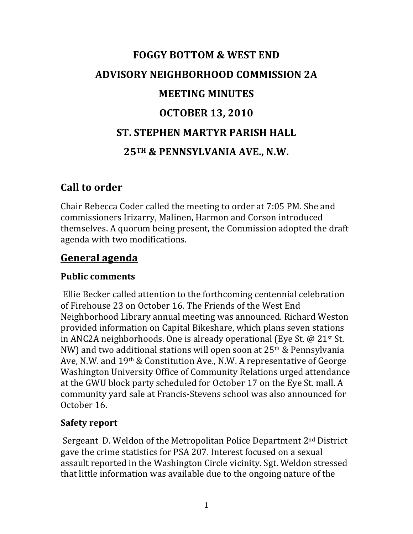# **FOGGY BOTTOM & WEST END ADVISORY NEIGHBORHOOD COMMISSION 2A MEETING MINUTES OCTOBER 13, 2010 ST. STEPHEN MARTYR PARISH HALL 25TH & PENNSYLVANIA AVE., N.W.**

## **Call to order**

Chair Rebecca Coder called the meeting to order at 7:05 PM. She and commissioners Irizarry, Malinen, Harmon and Corson introduced themselves. A quorum being present, the Commission adopted the draft agenda with two modifications.

## **General agenda**

## **Public comments**

Ellie Becker called attention to the forthcoming centennial celebration of Firehouse 23 on October 16. The Friends of the West End Neighborhood Library annual meeting was announced. Richard Weston provided information on Capital Bikeshare, which plans seven stations in ANC2A neighborhoods. One is already operational (Eye St.  $\omega$  21st St. NW) and two additional stations will open soon at  $25<sup>th</sup>$  & Pennsylvania Ave, N.W. and  $19<sup>th</sup>$  & Constitution Ave., N.W. A representative of George Washington University Office of Community Relations urged attendance at the GWU block party scheduled for October 17 on the Eye St. mall. A community yard sale at Francis-Stevens school was also announced for October 16.

## **Safety report**

Sergeant D. Weldon of the Metropolitan Police Department  $2<sup>nd</sup>$  District gave the crime statistics for PSA 207. Interest focused on a sexual assault reported in the Washington Circle vicinity. Sgt. Weldon stressed that little information was available due to the ongoing nature of the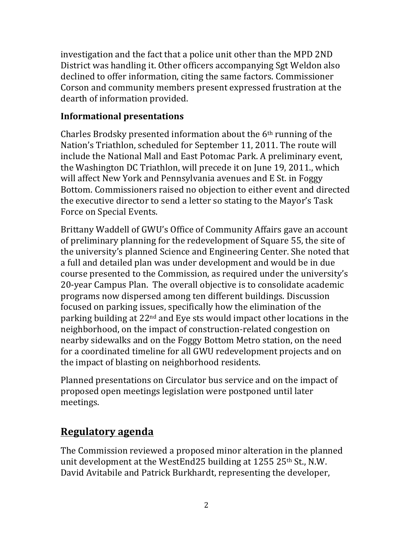investigation and the fact that a police unit other than the MPD 2ND District was handling it. Other officers accompanying Sgt Weldon also declined to offer information, citing the same factors. Commissioner Corson and community members present expressed frustration at the dearth of information provided.

#### **Informational presentations**

Charles Brodsky presented information about the  $6<sup>th</sup>$  running of the Nation's Triathlon, scheduled for September 11, 2011. The route will include the National Mall and East Potomac Park. A preliminary event, the Washington DC Triathlon, will precede it on June 19, 2011., which will affect New York and Pennsylvania avenues and E St. in Foggy Bottom. Commissioners raised no objection to either event and directed the executive director to send a letter so stating to the Mayor's Task Force on Special Events.

Brittany Waddell of GWU's Office of Community Affairs gave an account of preliminary planning for the redevelopment of Square 55, the site of the university's planned Science and Engineering Center. She noted that a full and detailed plan was under development and would be in due course presented to the Commission, as required under the university's 20-year Campus Plan. The overall objective is to consolidate academic programs now dispersed among ten different buildings. Discussion focused on parking issues, specifically how the elimination of the parking building at  $22<sup>nd</sup>$  and Eye sts would impact other locations in the neighborhood, on the impact of construction-related congestion on nearby sidewalks and on the Foggy Bottom Metro station, on the need for a coordinated timeline for all GWU redevelopment projects and on the impact of blasting on neighborhood residents.

Planned presentations on Circulator bus service and on the impact of proposed open meetings legislation were postponed until later meetings. 

# **Regulatory agenda**

The Commission reviewed a proposed minor alteration in the planned unit development at the WestEnd25 building at  $1255$  25<sup>th</sup> St., N.W. David Avitabile and Patrick Burkhardt, representing the developer,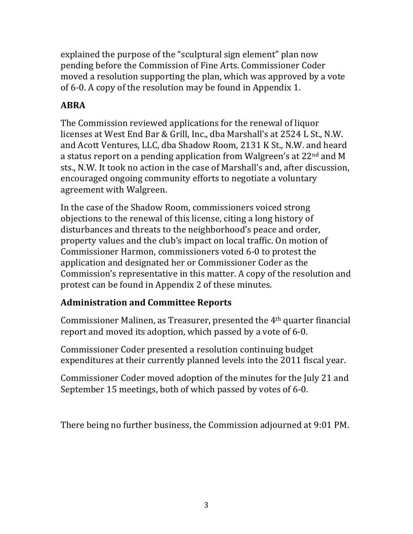explained the purpose of the "sculptural sign element" plan now pending before the Commission of Fine Arts. Commissioner Coder moved a resolution supporting the plan, which was approved by a vote of 6-0. A copy of the resolution may be found in Appendix 1.

## **ABRA**

The Commission reviewed applications for the renewal of liquor licenses at West End Bar & Grill, Inc., dba Marshall's at 2524 L St., N.W. and Acott Ventures, LLC, dba Shadow Room, 2131 K St., N.W. and heard a status report on a pending application from Walgreen's at 22<sup>nd</sup> and M sts., N.W. It took no action in the case of Marshall's and, after discussion, encouraged ongoing community efforts to negotiate a voluntary agreement with Walgreen.

In the case of the Shadow Room, commissioners voiced strong objections to the renewal of this license, citing a long history of disturbances and threats to the neighborhood's peace and order, property values and the club's impact on local traffic. On motion of Commissioner Harmon, commissioners voted 6-0 to protest the application and designated her or Commissioner Coder as the Commission's representative in this matter. A copy of the resolution and protest can be found in Appendix 2 of these minutes.

## **Administration and Committee Reports**

Commissioner Malinen, as Treasurer, presented the 4<sup>th</sup> quarter financial report and moved its adoption, which passed by a vote of 6-0.

Commissioner Coder presented a resolution continuing budget expenditures at their currently planned levels into the 2011 fiscal year.

Commissioner Coder moved adoption of the minutes for the July 21 and September 15 meetings, both of which passed by votes of 6-0.

There being no further business, the Commission adjourned at 9:01 PM.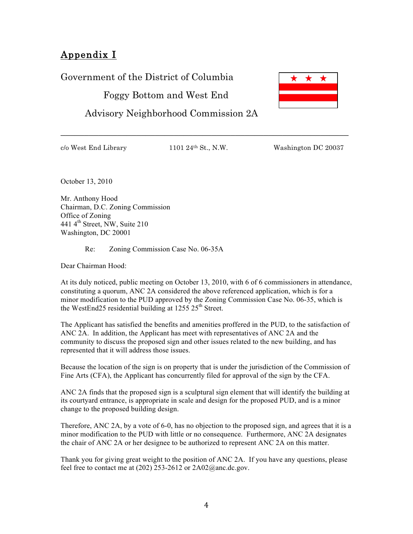## Appendix I

Government of the District of Columbia

Foggy Bottom and West End

Advisory Neighborhood Commission 2A

\_\_\_\_\_\_\_\_\_\_\_\_\_\_\_\_\_\_\_\_\_\_\_\_\_\_\_\_\_\_\_\_\_\_\_\_\_\_\_\_\_\_\_\_\_\_\_\_\_\_\_\_\_\_\_\_\_\_\_\_\_

 $c/\text{o West End Library}$  1101  $24\text{th St.}, \text{N.W.}$  Washington DC 20037

October 13, 2010

Mr. Anthony Hood Chairman, D.C. Zoning Commission Office of Zoning 441 4th Street, NW, Suite 210 Washington, DC 20001

Re: Zoning Commission Case No. 06-35A

Dear Chairman Hood:

At its duly noticed, public meeting on October 13, 2010, with 6 of 6 commissioners in attendance, constituting a quorum, ANC 2A considered the above referenced application, which is for a minor modification to the PUD approved by the Zoning Commission Case No. 06-35, which is the WestEnd25 residential building at  $1255 \times 25^{th}$  Street.

The Applicant has satisfied the benefits and amenities proffered in the PUD, to the satisfaction of ANC 2A. In addition, the Applicant has meet with representatives of ANC 2A and the community to discuss the proposed sign and other issues related to the new building, and has represented that it will address those issues.

Because the location of the sign is on property that is under the jurisdiction of the Commission of Fine Arts (CFA), the Applicant has concurrently filed for approval of the sign by the CFA.

ANC 2A finds that the proposed sign is a sculptural sign element that will identify the building at its courtyard entrance, is appropriate in scale and design for the proposed PUD, and is a minor change to the proposed building design.

Therefore, ANC 2A, by a vote of 6-0, has no objection to the proposed sign, and agrees that it is a minor modification to the PUD with little or no consequence. Furthermore, ANC 2A designates the chair of ANC 2A or her designee to be authorized to represent ANC 2A on this matter.

Thank you for giving great weight to the position of ANC 2A. If you have any questions, please feel free to contact me at (202) 253-2612 or  $2A02@$  anc.dc.gov.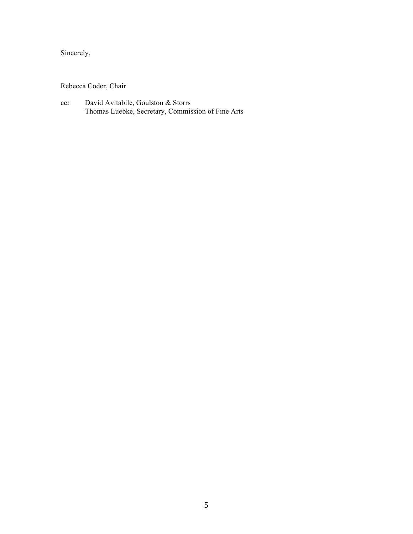Sincerely,

Rebecca Coder, Chair

cc: David Avitabile, Goulston & Storrs Thomas Luebke, Secretary, Commission of Fine Arts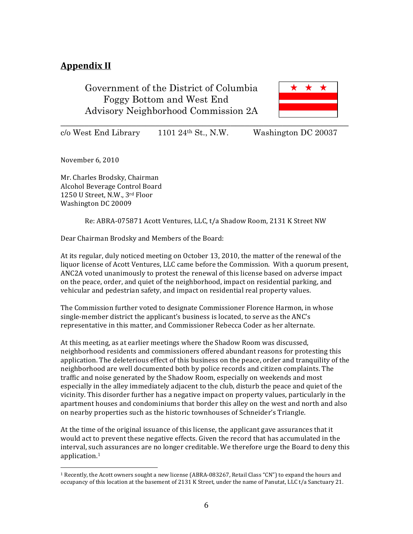#### **Appendix II**

Government of the District of Columbia Foggy Bottom and West End Advisory Neighborhood Commission 2A



c/o West End Library 1101 24th St., N.W. Washington DC 20037

November 6, 2010

Mr. Charles Brodsky, Chairman Alcohol Beverage Control Board 1250 U Street, N.W., 3rd Floor Washington DC 20009

 

Re: ABRA-075871 Acott Ventures, LLC, t/a Shadow Room, 2131 K Street NW

Dear Chairman Brodsky and Members of the Board:

At its regular, duly noticed meeting on October 13, 2010, the matter of the renewal of the liquor license of Acott Ventures, LLC came before the Commission. With a quorum present, ANC2A voted unanimously to protest the renewal of this license based on adverse impact on the peace, order, and quiet of the neighborhood, impact on residential parking, and vehicular and pedestrian safety, and impact on residential real property values.

The Commission further voted to designate Commissioner Florence Harmon, in whose single-member district the applicant's business is located, to serve as the ANC's representative in this matter, and Commissioner Rebecca Coder as her alternate.

At this meeting, as at earlier meetings where the Shadow Room was discussed, neighborhood residents and commissioners offered abundant reasons for protesting this application. The deleterious effect of this business on the peace, order and tranquility of the neighborhood are well documented both by police records and citizen complaints. The traffic and noise generated by the Shadow Room, especially on weekends and most especially in the alley immediately adjacent to the club, disturb the peace and quiet of the vicinity. This disorder further has a negative impact on property values, particularly in the apartment houses and condominiums that border this alley on the west and north and also on nearby properties such as the historic townhouses of Schneider's Triangle.

At the time of the original issuance of this license, the applicant gave assurances that it would act to prevent these negative effects. Given the record that has accumulated in the interval, such assurances are no longer creditable. We therefore urge the Board to deny this application.<sup>1</sup>

<sup>&</sup>lt;sup>1</sup> Recently, the Acott owners sought a new license (ABRA-083267, Retail Class "CN") to expand the hours and occupancy of this location at the basement of 2131 K Street, under the name of Panutat, LLC t/a Sanctuary 21.